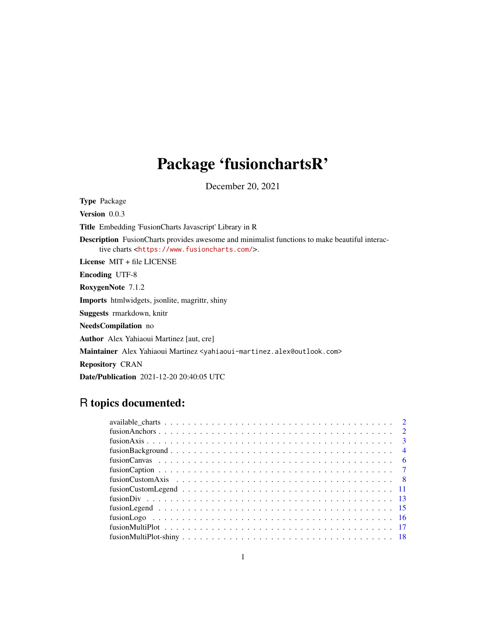# Package 'fusionchartsR'

December 20, 2021

Type Package Version 0.0.3 Title Embedding 'FusionCharts Javascript' Library in R Description FusionCharts provides awesome and minimalist functions to make beautiful interactive charts <<https://www.fusioncharts.com/>>. License MIT + file LICENSE Encoding UTF-8 RoxygenNote 7.1.2 Imports htmlwidgets, jsonlite, magrittr, shiny Suggests rmarkdown, knitr NeedsCompilation no Author Alex Yahiaoui Martinez [aut, cre] Maintainer Alex Yahiaoui Martinez <yahiaoui-martinez.alex@outlook.com> Repository CRAN Date/Publication 2021-12-20 20:40:05 UTC

# R topics documented: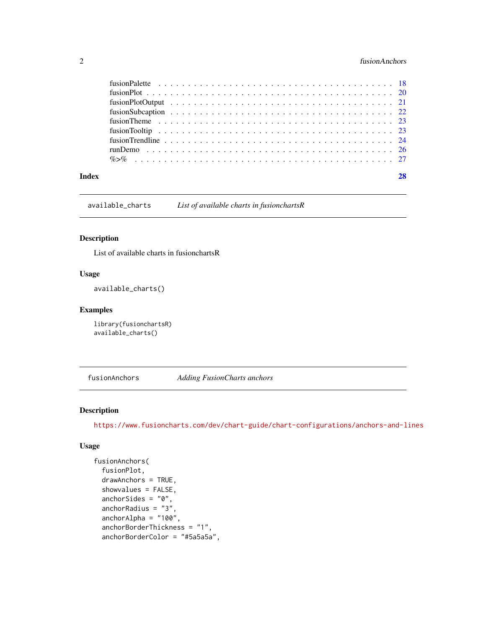#### <span id="page-1-0"></span>2 fusionAnchors

| Index |  |
|-------|--|
|       |  |
|       |  |
|       |  |
|       |  |
|       |  |
|       |  |
|       |  |
|       |  |
|       |  |

available\_charts *List of available charts in fusionchartsR*

#### Description

List of available charts in fusionchartsR

#### Usage

available\_charts()

#### Examples

library(fusionchartsR) available\_charts()

fusionAnchors *Adding FusionCharts anchors*

#### Description

<https://www.fusioncharts.com/dev/chart-guide/chart-configurations/anchors-and-lines>

```
fusionAnchors(
  fusionPlot,
  drawAnchors = TRUE,
  showvalues = FALSE,
  anchorSides = "0",anchorRadius = "3",
  anchorAlpha = "100",
  anchorBorderThickness = "1",
  anchorBorderColor = "#5a5a5a",
```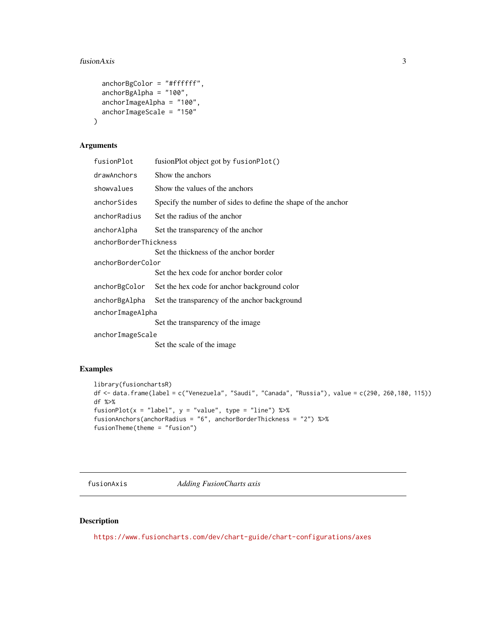#### <span id="page-2-0"></span>fusionAxis 3

```
anchorBgColor = "#ffffff",
anchorBgAlpha = "100",
anchorImageAlpha = "100",
anchorImageScale = "150"
```
#### Arguments

)

| fusionPlot            | fusionPlot object got by fusionPlot()                         |  |
|-----------------------|---------------------------------------------------------------|--|
| drawAnchors           | Show the anchors                                              |  |
| showvalues            | Show the values of the anchors                                |  |
| anchorSides           | Specify the number of sides to define the shape of the anchor |  |
| anchorRadius          | Set the radius of the anchor                                  |  |
| anchorAlpha           | Set the transparency of the anchor                            |  |
| anchorBorderThickness |                                                               |  |
|                       | Set the thickness of the anchor border                        |  |
| anchorBorderColor     |                                                               |  |
|                       | Set the hex code for anchor border color                      |  |
| anchorBgColor         | Set the hex code for anchor background color                  |  |
| anchorBgAlpha         | Set the transparency of the anchor background                 |  |
| anchorImageAlpha      |                                                               |  |
|                       | Set the transparency of the image                             |  |
| anchorImageScale      |                                                               |  |
|                       | Set the scale of the image                                    |  |

#### Examples

```
library(fusionchartsR)
df <- data.frame(label = c("Venezuela", "Saudi", "Canada", "Russia"), value = c(290, 260,180, 115))
df %>%
fusionPlot(x = "label", y = "value", type = "line") %>%
fusionAnchors(anchorRadius = "6", anchorBorderThickness = "2") %>%
fusionTheme(theme = "fusion")
```
fusionAxis *Adding FusionCharts axis*

#### Description

<https://www.fusioncharts.com/dev/chart-guide/chart-configurations/axes>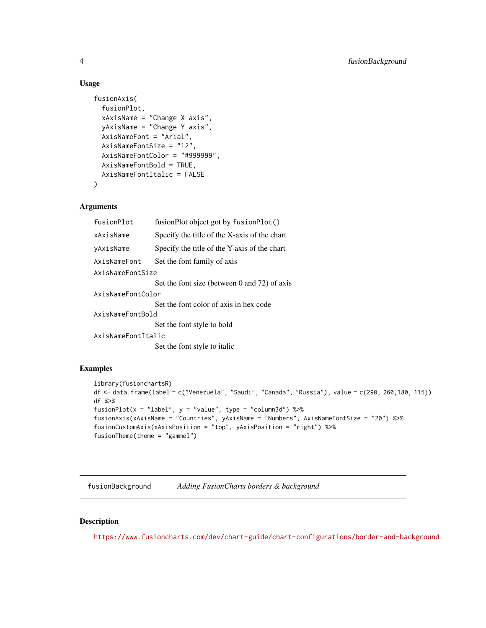#### <span id="page-3-0"></span>Usage

```
fusionAxis(
  fusionPlot,
  xAxisName = "Change X axis",
  yAxisName = "Change Y axis",
  AxisNameFont = "Arial",
  AxisNameFontSize = "12",
  AxisNameFontColor = "#999999",
  AxisNameFontBold = TRUE,
  AxisNameFontItalic = FALSE
\mathcal{L}
```
#### Arguments

| fusionPlot         | fusionPlot object got by fusionPlot()        |  |
|--------------------|----------------------------------------------|--|
| xAxisName          | Specify the title of the X-axis of the chart |  |
| yAxisName          | Specify the title of the Y-axis of the chart |  |
| AxisNameFont       | Set the font family of axis                  |  |
| AxisNameFontSize   |                                              |  |
|                    | Set the font size (between 0 and 72) of axis |  |
| AxisNameFontColor  |                                              |  |
|                    | Set the font color of axis in hex code       |  |
| AxisNameFontBold   |                                              |  |
|                    | Set the font style to bold                   |  |
| AxisNameFontItalic |                                              |  |
|                    | Set the font style to italic                 |  |

#### Examples

```
library(fusionchartsR)
df <- data.frame(label = c("Venezuela", "Saudi", "Canada", "Russia"), value = c(290, 260,180, 115))
df %>%
fusionPlot(x = "label", y = "value", type = "column3d") % >fusionAxis(xAxisName = "Countries", yAxisName = "Numbers", AxisNameFontSize = "20") %>%
fusionCustomAxis(xAxisPosition = "top", yAxisPosition = "right") %>%
fusionTheme(theme = "gammel")
```
fusionBackground *Adding FusionCharts borders & background*

#### Description

<https://www.fusioncharts.com/dev/chart-guide/chart-configurations/border-and-background>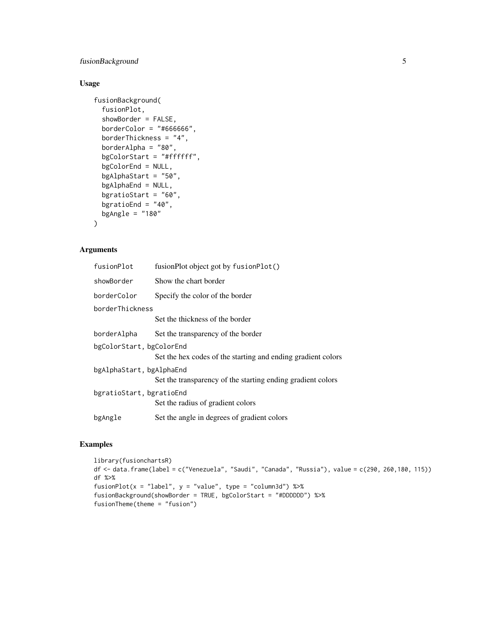### fusionBackground 5

### Usage

```
fusionBackground(
  fusionPlot,
  showBorder = FALSE,
  borderColor = "#666666",borderThickness = "4",
  borderAlpha = "80",
  bgColorStart = "#ffffff",
  bgColorEnd = NULL,
  bgAlphaStart = "50",
 bgAlphaEnd = NULL,
  bgratioStart = "60",
 bgratioEnd = "40",bgAngle = "180"\lambda
```
#### Arguments

| fusionPlot               | fusionPlot object got by fusionPlot()                        |  |
|--------------------------|--------------------------------------------------------------|--|
| showBorder               | Show the chart border                                        |  |
| borderColor              | Specify the color of the border                              |  |
| borderThickness          |                                                              |  |
|                          | Set the thickness of the border                              |  |
| borderAlpha              | Set the transparency of the border                           |  |
| bgColorStart, bgColorEnd |                                                              |  |
|                          | Set the hex codes of the starting and ending gradient colors |  |
| bgAlphaStart, bgAlphaEnd |                                                              |  |
|                          | Set the transparency of the starting ending gradient colors  |  |
| bgratioStart, bgratioEnd |                                                              |  |
|                          | Set the radius of gradient colors                            |  |
| bgAngle                  | Set the angle in degrees of gradient colors                  |  |

#### Examples

```
library(fusionchartsR)
df <- data.frame(label = c("Venezuela", "Saudi", "Canada", "Russia"), value = c(290, 260,180, 115))
df %>%
fusionPlot(x = "label", y = "value", type = "column3d") %\gg%
fusionBackground(showBorder = TRUE, bgColorStart = "#DDDDDD") %>%
fusionTheme(theme = "fusion")
```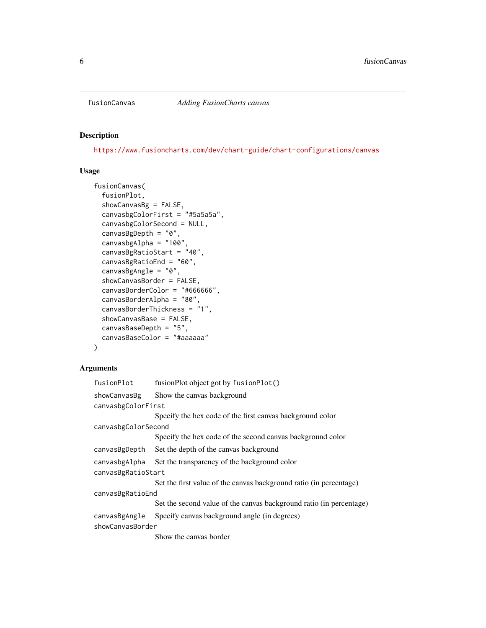<span id="page-5-0"></span>

#### Description

<https://www.fusioncharts.com/dev/chart-guide/chart-configurations/canvas>

#### Usage

```
fusionCanvas(
  fusionPlot,
  showCanvasBg = FALSE,
  canvasbgColorFirst = "#5a5a5a",
  canvasbgColorSecond = NULL,
  canvasBgDepth = "0",
  canvasbgAlpha = "100",
  canvasBgRatioStart = "40",
  canvasBgRatioEnd = "60",
  canvasBgAngle = "0",
  showCanvasBorder = FALSE,
  canvasBorderColor = "#666666",
  canvasBorderAlpha = "80",
  canvasBorderThickness = "1",
  showCanvasBase = FALSE,
  canvasBaseDepth = "5",
  canvasBaseColor = "#aaaaaa"
)
```

| fusionPlot          | fusionPlot object got by fusionPlot()                               |  |
|---------------------|---------------------------------------------------------------------|--|
| showCanvasBg        | Show the canvas background                                          |  |
| canvasbgColorFirst  |                                                                     |  |
|                     | Specify the hex code of the first canvas background color           |  |
| canvasbgColorSecond |                                                                     |  |
|                     | Specify the hex code of the second canvas background color          |  |
| canvasBgDepth       | Set the depth of the canvas background                              |  |
| canvasbgAlpha       | Set the transparency of the background color                        |  |
| canvasBgRatioStart  |                                                                     |  |
|                     | Set the first value of the canvas background ratio (in percentage)  |  |
| canvasBgRatioEnd    |                                                                     |  |
|                     | Set the second value of the canvas background ratio (in percentage) |  |
| canvasBgAngle       | Specify canvas background angle (in degrees)                        |  |
| showCanvasBorder    |                                                                     |  |
|                     | Show the canvas border                                              |  |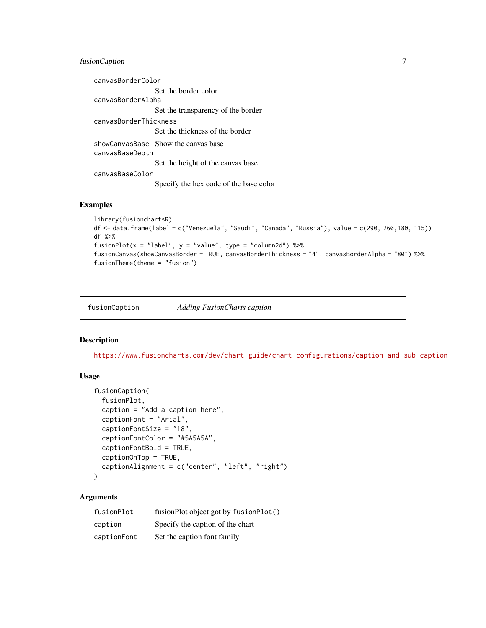#### <span id="page-6-0"></span>fusionCaption 7

canvasBorderColor Set the border color canvasBorderAlpha Set the transparency of the border canvasBorderThickness Set the thickness of the border showCanvasBase Show the canvas base canvasBaseDepth Set the height of the canvas base canvasBaseColor Specify the hex code of the base color

#### Examples

```
library(fusionchartsR)
df <- data.frame(label = c("Venezuela", "Saudi", "Canada", "Russia"), value = c(290, 260,180, 115))
df %>%
fusionPlot(x = "label", y = "value", type = "column2d") %>%
fusionCanvas(showCanvasBorder = TRUE, canvasBorderThickness = "4", canvasBorderAlpha = "80") %>%
fusionTheme(theme = "fusion")
```
fusionCaption *Adding FusionCharts caption*

#### Description

<https://www.fusioncharts.com/dev/chart-guide/chart-configurations/caption-and-sub-caption>

#### Usage

```
fusionCaption(
  fusionPlot,
  caption = "Add a caption here",
  captionFont = "Arial",
  captionFontSize = "18",
  captionFontColor = "#5A5A5A",
  captionFontBold = TRUE,
  captionOnTop = TRUE,
  captionAlignment = c("center", "left", "right")
\lambda
```

| fusionPlot  | fusionPlot object got by fusionPlot() |
|-------------|---------------------------------------|
| caption     | Specify the caption of the chart      |
| captionFont | Set the caption font family           |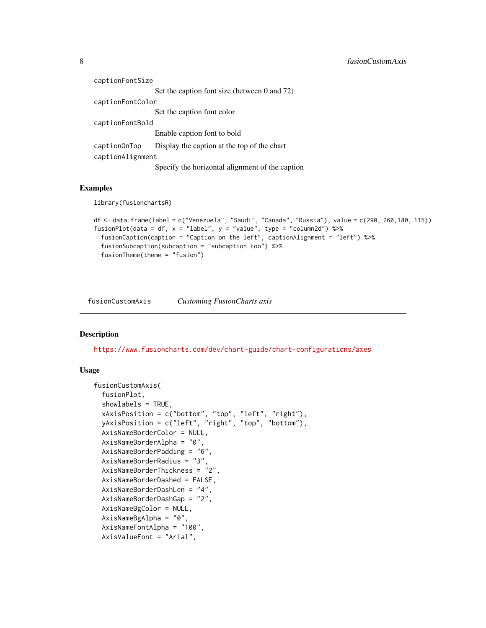<span id="page-7-0"></span>

| captionFontSize  |                                                 |  |
|------------------|-------------------------------------------------|--|
|                  | Set the caption font size (between 0 and 72)    |  |
| captionFontColor |                                                 |  |
|                  | Set the caption font color                      |  |
| captionFontBold  |                                                 |  |
|                  | Enable caption font to bold                     |  |
| caption0nTop     | Display the caption at the top of the chart     |  |
| captionAlignment |                                                 |  |
|                  | Specify the horizontal alignment of the caption |  |

#### Examples

library(fusionchartsR)

```
df <- data.frame(label = c("Venezuela", "Saudi", "Canada", "Russia"), value = c(290, 260,180, 115))
fusionPlot(data = df, x = "label", y = "value", type = "column2d") %>%
 fusionCaption(caption = "Caption on the left", captionAlignment = "left") %>%
 fusionSubcaption(subcaption = "subcaption too") %>%
 fusionTheme(theme = "fusion")
```
fusionCustomAxis *Customing FusionCharts axis*

#### Description

<https://www.fusioncharts.com/dev/chart-guide/chart-configurations/axes>

```
fusionCustomAxis(
  fusionPlot,
  showlabels = TRUE,
  xAxisPosition = c("bottom", "top", "left", "right"),
  yAxisPosition = c("left", "right", "top", "bottom"),
  AxisNameBorderColor = NULL,
  AxisNameBorderAlpha = "0",
  AxisNameBorderPadding = "6",
 AxisNameBorderRadius = "3",
  AxisNameBorderThickness = "2",
  AxisNameBorderDashed = FALSE,
  AxisNameBorderDashLen = "4",
  AxisNameBorderDashGap = "2",
  AxisNameBgColor = NULL,
  AxisNameBgAlpha = "0",
  AxisNameFontAlpha = "100",
  AxisValueFont = "Arial",
```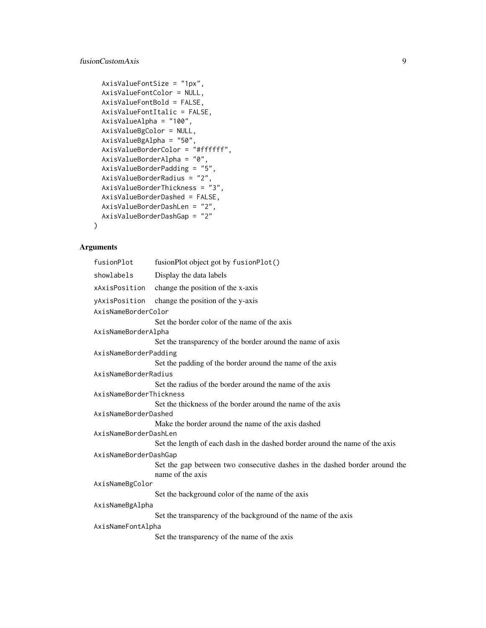### fusionCustomAxis 9

```
AxisValueFontSize = "1px",
AxisValueFontColor = NULL,
AxisValueFontBold = FALSE,
AxisValueFontItalic = FALSE,
AxisValueAlpha = "100",
AxisValueBgColor = NULL,
AxisValueBgAlpha = "50",
AxisValueBorderColor = "#ffffff",
AxisValueBorderAlpha = "0",
AxisValueBorderPadding = "5",
AxisValueBorderRadius = "2",
AxisValueBorderThickness = "3",
AxisValueBorderDashed = FALSE,
AxisValueBorderDashLen = "2",
AxisValueBorderDashGap = "2"
```
#### Arguments

)

| fusionPlot              | fusionPlot object got by fusionPlot()                                                          |
|-------------------------|------------------------------------------------------------------------------------------------|
| showlabels              | Display the data labels                                                                        |
| xAxisPosition           | change the position of the x-axis                                                              |
| yAxisPosition           | change the position of the y-axis                                                              |
| AxisNameBorderColor     |                                                                                                |
|                         | Set the border color of the name of the axis                                                   |
| AxisNameBorderAlpha     |                                                                                                |
|                         | Set the transparency of the border around the name of axis                                     |
| AxisNameBorderPadding   |                                                                                                |
|                         | Set the padding of the border around the name of the axis                                      |
| AxisNameBorderRadius    |                                                                                                |
|                         | Set the radius of the border around the name of the axis                                       |
| AxisNameBorderThickness |                                                                                                |
|                         | Set the thickness of the border around the name of the axis                                    |
| AxisNameBorderDashed    |                                                                                                |
|                         | Make the border around the name of the axis dashed                                             |
| AxisNameBorderDashLen   |                                                                                                |
|                         | Set the length of each dash in the dashed border around the name of the axis                   |
| AxisNameBorderDashGap   |                                                                                                |
|                         | Set the gap between two consecutive dashes in the dashed border around the<br>name of the axis |
| AxisNameBgColor         |                                                                                                |
|                         | Set the background color of the name of the axis                                               |
| AxisNameBgAlpha         |                                                                                                |
|                         | Set the transparency of the background of the name of the axis                                 |
| AxisNameFontAlpha       |                                                                                                |
|                         | Set the transparency of the name of the axis                                                   |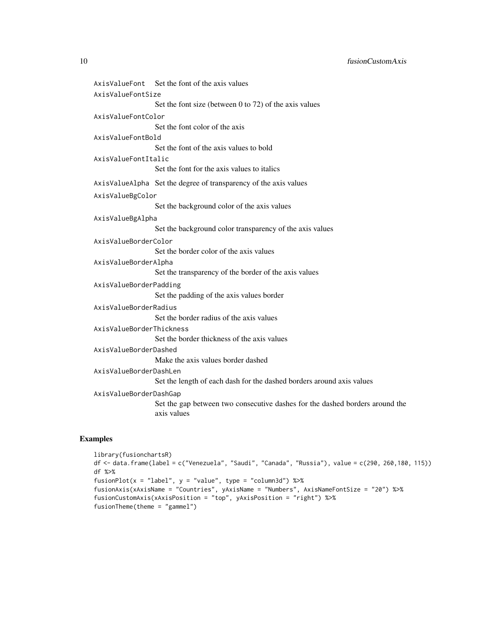10 fusionCustomAxis

AxisValueFont Set the font of the axis values AxisValueFontSize Set the font size (between 0 to 72) of the axis values AxisValueFontColor Set the font color of the axis AxisValueFontBold Set the font of the axis values to bold AxisValueFontItalic Set the font for the axis values to italics AxisValueAlpha Set the degree of transparency of the axis values AxisValueBgColor Set the background color of the axis values AxisValueBgAlpha Set the background color transparency of the axis values AxisValueBorderColor Set the border color of the axis values AxisValueBorderAlpha Set the transparency of the border of the axis values AxisValueBorderPadding Set the padding of the axis values border AxisValueBorderRadius Set the border radius of the axis values AxisValueBorderThickness Set the border thickness of the axis values AxisValueBorderDashed Make the axis values border dashed AxisValueBorderDashLen Set the length of each dash for the dashed borders around axis values AxisValueBorderDashGap Set the gap between two consecutive dashes for the dashed borders around the axis values

#### Examples

```
library(fusionchartsR)
df <- data.frame(label = c("Venezuela", "Saudi", "Canada", "Russia"), value = c(290, 260,180, 115))
df %>%
fusionPlot(x = "label", y = "value", type = "column3d") %>%
fusionAxis(xAxisName = "Countries", yAxisName = "Numbers", AxisNameFontSize = "20") %>%
fusionCustomAxis(xAxisPosition = "top", yAxisPosition = "right") %>%
fusionTheme(theme = "gammel")
```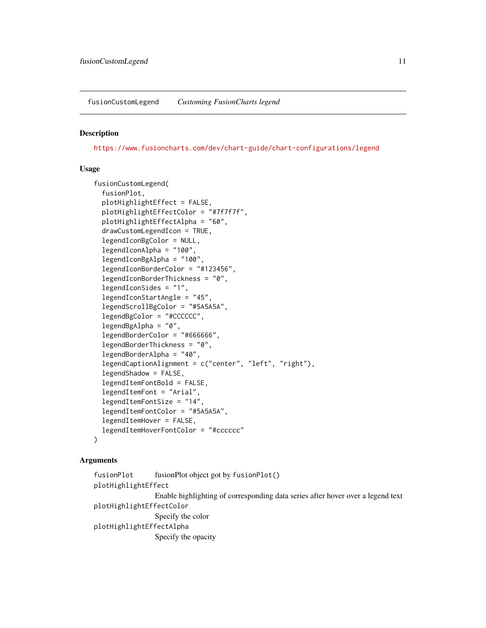<span id="page-10-0"></span>fusionCustomLegend *Customing FusionCharts legend*

#### Description

<https://www.fusioncharts.com/dev/chart-guide/chart-configurations/legend>

#### Usage

```
fusionCustomLegend(
  fusionPlot,
  plotHighlightEffect = FALSE,
 plotHighlightEffectColor = "#7f7f7f",
  plotHighlightEffectAlpha = "60",
  drawCustomLegendIcon = TRUE,
  legendIconBgColor = NULL,
  legendIconAlpha = "100",
  legendIconBgAlpha = "100",
  legendIconBorderColor = "#123456",
  legendIconBorderThickness = "0",
  legendIconSides = "1",
  legendIconStartAngle = "45",
  legendScrollBgColor = "#5A5A5A",
  legendBgColor = "#CCCCCC",
  legendBgAlpha = "0",
  legendBorderColor = "#666666",
  legendBorderThickness = "0",
  legendBorderAlpha = "40",
  legendCaptionAlignment = c("center", "left", "right"),
  legendShadow = FALSE,
  legendItemFontBold = FALSE,
  legendItemFont = "Arial",
  legendItemFontSize = "14",
  legendItemFontColor = "#5A5A5A",
  legendItemHover = FALSE,
  legendItemHoverFontColor = "#cccccc"
\mathcal{L}
```

```
fusionPlot fusionPlot object got by fusionPlot()
plotHighlightEffect
                 Enable highlighting of corresponding data series after hover over a legend text
plotHighlightEffectColor
                 Specify the color
plotHighlightEffectAlpha
                 Specify the opacity
```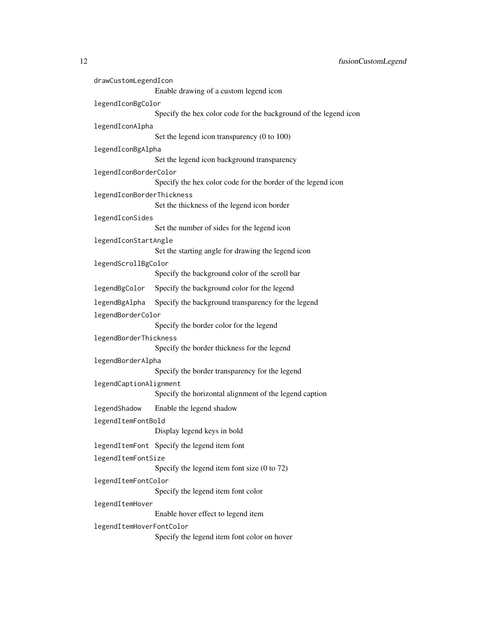| drawCustomLegendIcon      | Enable drawing of a custom legend icon                           |
|---------------------------|------------------------------------------------------------------|
| legendIconBgColor         |                                                                  |
|                           | Specify the hex color code for the background of the legend icon |
| legendIconAlpha           |                                                                  |
|                           | Set the legend icon transparency (0 to 100)                      |
| legendIconBgAlpha         |                                                                  |
|                           | Set the legend icon background transparency                      |
| legendIconBorderColor     |                                                                  |
|                           | Specify the hex color code for the border of the legend icon     |
| legendIconBorderThickness |                                                                  |
|                           | Set the thickness of the legend icon border                      |
| legendIconSides           | Set the number of sides for the legend icon                      |
|                           |                                                                  |
| legendIconStartAngle      | Set the starting angle for drawing the legend icon               |
| legendScrollBgColor       |                                                                  |
|                           | Specify the background color of the scroll bar                   |
| legendBgColor             | Specify the background color for the legend                      |
| legendBgAlpha             | Specify the background transparency for the legend               |
| legendBorderColor         |                                                                  |
|                           | Specify the border color for the legend                          |
| legendBorderThickness     |                                                                  |
|                           | Specify the border thickness for the legend                      |
| legendBorderAlpha         |                                                                  |
|                           | Specify the border transparency for the legend                   |
| legendCaptionAlignment    | Specify the horizontal alignment of the legend caption           |
| legendShadow              | Enable the legend shadow                                         |
| legendItemFontBold        |                                                                  |
|                           | Display legend keys in bold                                      |
|                           | legendItemFont Specify the legend item font                      |
| legendItemFontSize        |                                                                  |
|                           | Specify the legend item font size $(0 \text{ to } 72)$           |
| legendItemFontColor       | Specify the legend item font color                               |
| legendItemHover           |                                                                  |
|                           | Enable hover effect to legend item                               |
| legendItemHoverFontColor  |                                                                  |
|                           | Specify the legend item font color on hover                      |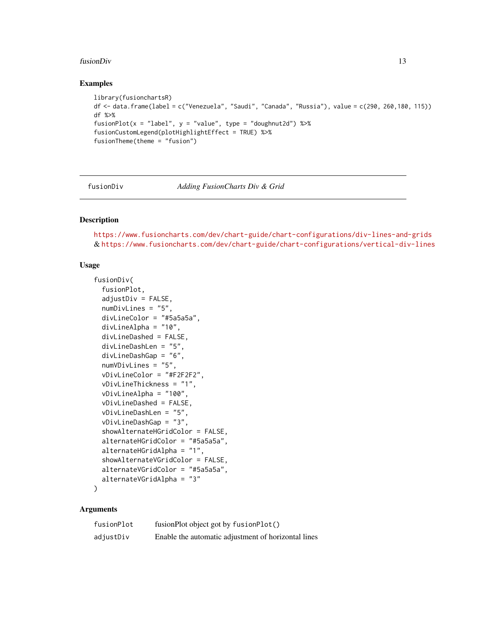#### <span id="page-12-0"></span>fusionDiv and the contract of the contract of the contract of the contract of the contract of the contract of the contract of the contract of the contract of the contract of the contract of the contract of the contract of

#### Examples

```
library(fusionchartsR)
df <- data.frame(label = c("Venezuela", "Saudi", "Canada", "Russia"), value = c(290, 260,180, 115))
df %>%
fusionPlot(x = "label", y = "value", type = "doughnut2d") %>%
fusionCustomLegend(plotHighlightEffect = TRUE) %>%
fusionTheme(theme = "fusion")
```
fusionDiv *Adding FusionCharts Div & Grid*

#### Description

<https://www.fusioncharts.com/dev/chart-guide/chart-configurations/div-lines-and-grids> & <https://www.fusioncharts.com/dev/chart-guide/chart-configurations/vertical-div-lines>

#### Usage

```
fusionDiv(
  fusionPlot,
  adjustDiv = FALSE,numDivLines = "5",
  divLineColor = "#5a5a5a",
  divLineAlpha = "10",
  divLineDashed = FALSE,
  divLineDashLen = "5",
  divLineDashGap = "6",numVDivLines = "5",
  vDivLineColor = "#F2F2F2",
  vDivLineThickness = "1",
  vDivLineAlpha = "100",
  vDivLineDashed = FALSE,
  vDivLineDashLen = "5",
  vDivLineDashGap = "3",
  showAlternateHGridColor = FALSE,
  alternateHGridColor = "#5a5a5a",
  alternateHGridAlpha = "1",
  showAlternateVGridColor = FALSE,
  alternateVGridColor = "#5a5a5a",
  alternateVGridAlpha = "3"
)
```

| fusionPlot | fusionPlot object got by fusionPlot()               |
|------------|-----------------------------------------------------|
| adjustDiv  | Enable the automatic adjustment of horizontal lines |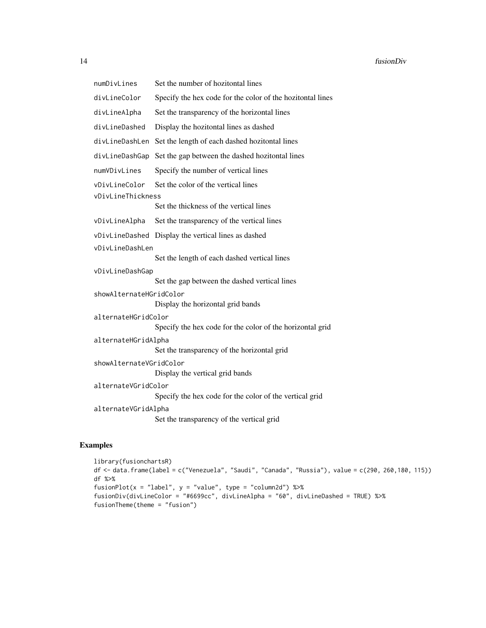numDivLines Set the number of hozitontal lines

divLineColor Specify the hex code for the color of the hozitontal lines

divLineAlpha Set the transparency of the horizontal lines

divLineDashed Display the hozitontal lines as dashed

divLineDashLen Set the length of each dashed hozitontal lines

divLineDashGap Set the gap between the dashed hozitontal lines

numVDivLines Specify the number of vertical lines

vDivLineColor Set the color of the vertical lines

vDivLineThickness

Set the thickness of the vertical lines

vDivLineAlpha Set the transparency of the vertical lines

vDivLineDashed Display the vertical lines as dashed

#### vDivLineDashLen

Set the length of each dashed vertical lines

```
vDivLineDashGap
```
Set the gap between the dashed vertical lines

showAlternateHGridColor

Display the horizontal grid bands

alternateHGridColor

Specify the hex code for the color of the horizontal grid

```
alternateHGridAlpha
```
Set the transparency of the horizontal grid

```
showAlternateVGridColor
```
Display the vertical grid bands

```
alternateVGridColor
```
Specify the hex code for the color of the vertical grid

```
alternateVGridAlpha
```
Set the transparency of the vertical grid

#### Examples

```
library(fusionchartsR)
df <- data.frame(label = c("Venezuela", "Saudi", "Canada", "Russia"), value = c(290, 260,180, 115))
df %>%
fusionPlot(x = "label", y = "value", type = "column2d") %\gg%
fusionDiv(divLineColor = "#6699cc", divLineAlpha = "60", divLineDashed = TRUE) %>%
fusionTheme(theme = "fusion")
```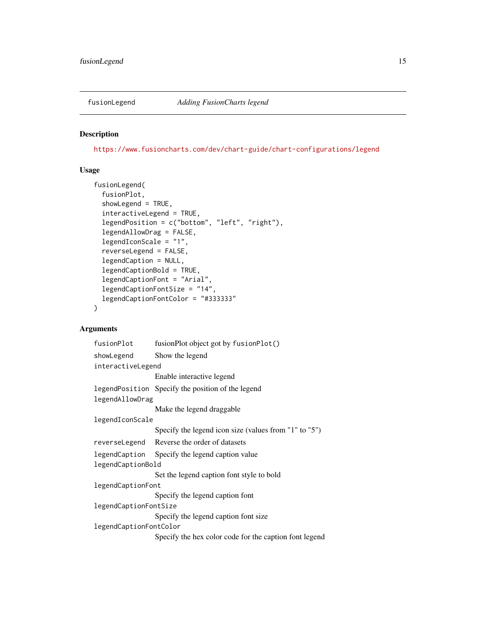<span id="page-14-0"></span>

#### Description

<https://www.fusioncharts.com/dev/chart-guide/chart-configurations/legend>

#### Usage

```
fusionLegend(
  fusionPlot,
  showLegend = TRUE,
  interactiveLegend = TRUE,
  legendPosition = c("bottom", "left", "right"),
  legendAllowDrag = FALSE,
  legendIconScale = "1",
  reverseLegend = FALSE,
  legendCaption = NULL,
  legendCaptionBold = TRUE,
  legendCaptionFont = "Arial",
  legendCaptionFontSize = "14",
  legendCaptionFontColor = "#333333"
\mathcal{L}
```

| fusionPlot             | fusionPlot object got by fusionPlot()                  |  |
|------------------------|--------------------------------------------------------|--|
| showLegend             | Show the legend                                        |  |
| interactiveLegend      |                                                        |  |
|                        | Enable interactive legend                              |  |
|                        | legendPosition Specify the position of the legend      |  |
| legendAllowDrag        |                                                        |  |
|                        | Make the legend draggable                              |  |
| legendIconScale        |                                                        |  |
|                        | Specify the legend icon size (values from "1" to "5")  |  |
|                        | reverseLegend Reverse the order of datasets            |  |
|                        | legendCaption Specify the legend caption value         |  |
| legendCaptionBold      |                                                        |  |
|                        | Set the legend caption font style to bold              |  |
| legendCaptionFont      |                                                        |  |
|                        | Specify the legend caption font                        |  |
| legendCaptionFontSize  |                                                        |  |
|                        | Specify the legend caption font size                   |  |
| legendCaptionFontColor |                                                        |  |
|                        | Specify the hex color code for the caption font legend |  |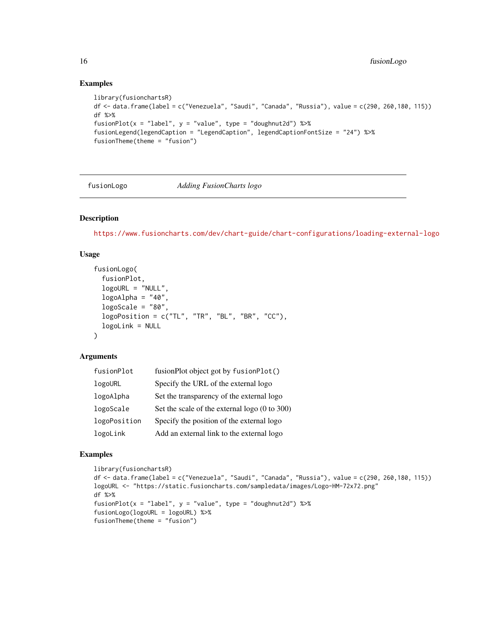#### Examples

```
library(fusionchartsR)
df <- data.frame(label = c("Venezuela", "Saudi", "Canada", "Russia"), value = c(290, 260,180, 115))
df %>%
fusionPlot(x = "label", y = "value", type = "doughnut2d") %>%
fusionLegend(legendCaption = "LegendCaption", legendCaptionFontSize = "24") %>%
fusionTheme(theme = "fusion")
```
#### fusionLogo *Adding FusionCharts logo*

#### Description

<https://www.fusioncharts.com/dev/chart-guide/chart-configurations/loading-external-logo>

#### Usage

```
fusionLogo(
  fusionPlot,
  logoURL = "NULL",
  logoAlpha = "40",logoScale = "80",
  logoPosition = c("TL", "TR", "BL", "BR", "CC"),
  logoLink = NULL
\lambda
```
#### Arguments

| fusionPlot   | fusionPlot object got by fusionPlot()         |
|--------------|-----------------------------------------------|
| logoURL      | Specify the URL of the external logo          |
| logoAlpha    | Set the transparency of the external logo     |
| logoScale    | Set the scale of the external logo (0 to 300) |
| logoPosition | Specify the position of the external logo     |
| logoLink     | Add an external link to the external logo     |

#### Examples

```
library(fusionchartsR)
df <- data.frame(label = c("Venezuela", "Saudi", "Canada", "Russia"), value = c(290, 260,180, 115))
logoURL <- "https://static.fusioncharts.com/sampledata/images/Logo-HM-72x72.png"
df %>%
fusionPlot(x = "label", y = "value", type = "doughnut2d") %\gg%
fusionLogo(logoURL = logoURL) %>%
fusionTheme(theme = "fusion")
```
<span id="page-15-0"></span>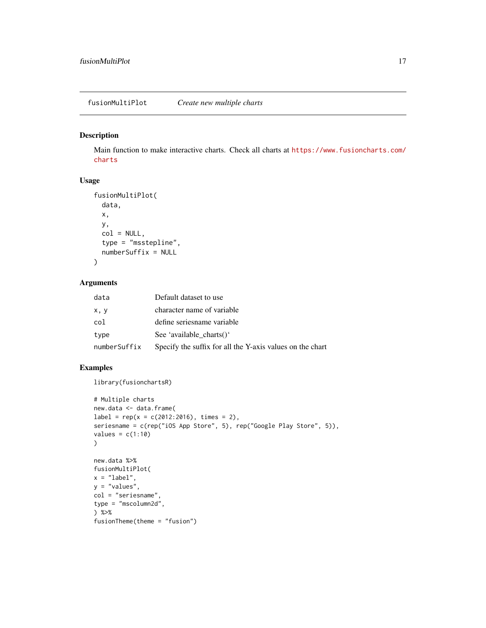#### <span id="page-16-0"></span>Description

Main function to make interactive charts. Check all charts at [https://www.fusioncharts.com/](https://www.fusioncharts.com/charts) [charts](https://www.fusioncharts.com/charts)

#### Usage

```
fusionMultiPlot(
  data,
  x,
  y,
  col = NULL,type = "msstepline",
  numberSuffix = NULL
\mathcal{L}
```
#### Arguments

| data         | Default dataset to use                                    |
|--------------|-----------------------------------------------------------|
| x, y         | character name of variable                                |
| col          | define seriesname variable                                |
| type         | See 'available charts()'                                  |
| numberSuffix | Specify the suffix for all the Y-axis values on the chart |

#### Examples

library(fusionchartsR)

```
# Multiple charts
new.data <- data.frame(
label = rep(x = c(2012:2016), times = 2),seriesname = c(rep("iOS App Store", 5), rep("Google Play Store", 5)),
values = c(1:10))
new.data %>%
fusionMultiPlot(
x = "label",y = "values",
col = "seriesname",
type = "mscolumn2d",
) %>%
fusionTheme(theme = "fusion")
```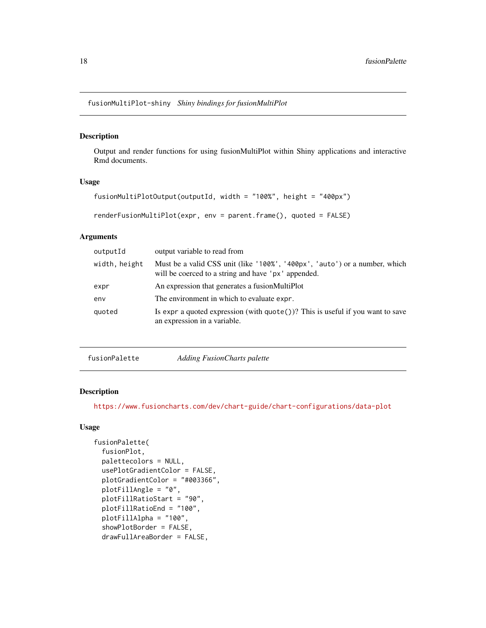<span id="page-17-0"></span>fusionMultiPlot-shiny *Shiny bindings for fusionMultiPlot*

#### Description

Output and render functions for using fusionMultiPlot within Shiny applications and interactive Rmd documents.

#### Usage

```
fusionMultiPlotOutput(outputId, width = "100%", height = "400px")
```

```
renderFusionMultiPlot(expr, env = parent.frame(), quoted = FALSE)
```
#### Arguments

| width, height<br>will be coerced to a string and have 'px' appended.<br>An expression that generates a fusionMultiPlot<br>expr<br>The environment in which to evaluate expr.<br>env<br>quoted | outputId | output variable to read from                                                               |
|-----------------------------------------------------------------------------------------------------------------------------------------------------------------------------------------------|----------|--------------------------------------------------------------------------------------------|
|                                                                                                                                                                                               |          | Must be a valid CSS unit (like '100%', '400px', 'auto') or a number, which                 |
|                                                                                                                                                                                               |          |                                                                                            |
|                                                                                                                                                                                               |          |                                                                                            |
| an expression in a variable.                                                                                                                                                                  |          | Is expr a quoted expression (with $\mathsf{quote}()$ )? This is useful if you want to save |

fusionPalette *Adding FusionCharts palette*

#### Description

<https://www.fusioncharts.com/dev/chart-guide/chart-configurations/data-plot>

```
fusionPalette(
  fusionPlot,
 palettecolors = NULL,
  usePlotGradientColor = FALSE,
 plotGradientColor = "#003366",
 plotFillAngle = "0",
 plotFillRatioStart = "90",
 plotFillRatioEnd = "100",
 plotFillAlpha = "100",
  showPlotBorder = FALSE,
  drawFullAreaBorder = FALSE,
```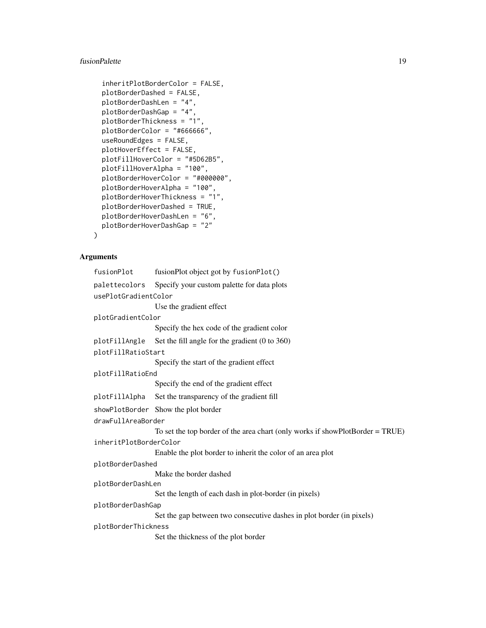#### fusionPalette 19

```
inheritPlotBorderColor = FALSE,
plotBorderDashed = FALSE,
plotBorderDashLen = "4",
plotBorderDashGap = "4",
plotBorderThickness = "1",
plotBorderColor = "#666666",
useRoundEdges = FALSE,
plotHoverEffect = FALSE,
plotFillHoverColor = "#5D62B5",
plotFillHoverAlpha = "100",
plotBorderHoverColor = "#000000",
plotBorderHoverAlpha = "100",
plotBorderHoverThickness = "1",
plotBorderHoverDashed = TRUE,
plotBorderHoverDashLen = "6",
plotBorderHoverDashGap = "2"
```
#### Arguments

 $\mathcal{L}$ 

| fusionPlot             | fusionPlot object got by fusionPlot()                                           |  |
|------------------------|---------------------------------------------------------------------------------|--|
| palettecolors          | Specify your custom palette for data plots                                      |  |
| usePlotGradientColor   |                                                                                 |  |
|                        | Use the gradient effect                                                         |  |
| plotGradientColor      |                                                                                 |  |
|                        | Specify the hex code of the gradient color                                      |  |
| plotFillAngle          | Set the fill angle for the gradient $(0 \text{ to } 360)$                       |  |
| plotFillRatioStart     |                                                                                 |  |
|                        | Specify the start of the gradient effect                                        |  |
| plotFillRatioEnd       |                                                                                 |  |
|                        | Specify the end of the gradient effect                                          |  |
| plotFillAlpha          | Set the transparency of the gradient fill                                       |  |
|                        | showPlotBorder Show the plot border                                             |  |
| drawFullAreaBorder     |                                                                                 |  |
|                        | To set the top border of the area chart (only works if showPlotBorder $=$ TRUE) |  |
| inheritPlotBorderColor |                                                                                 |  |
|                        | Enable the plot border to inherit the color of an area plot                     |  |
| plotBorderDashed       |                                                                                 |  |
|                        | Make the border dashed                                                          |  |
| plotBorderDashLen      |                                                                                 |  |
|                        | Set the length of each dash in plot-border (in pixels)                          |  |
| plotBorderDashGap      |                                                                                 |  |
|                        | Set the gap between two consecutive dashes in plot border (in pixels)           |  |
| plotBorderThickness    |                                                                                 |  |
|                        | Set the thickness of the plot border                                            |  |
|                        |                                                                                 |  |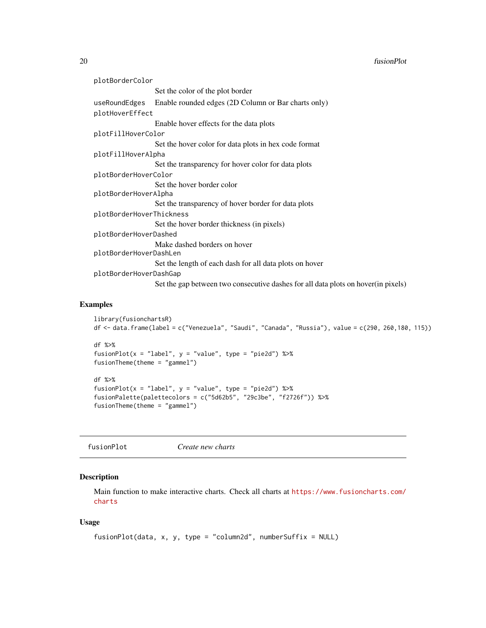#### <span id="page-19-0"></span>20 contract to the contract of the contract of the contract of the contract of the contract of the contract of the contract of the contract of the contract of the contract of the contract of the contract of the contract of

| plotBorderColor          |                                                                                    |  |
|--------------------------|------------------------------------------------------------------------------------|--|
|                          | Set the color of the plot border                                                   |  |
| useRoundEdges            | Enable rounded edges (2D Column or Bar charts only)                                |  |
| plotHoverEffect          |                                                                                    |  |
|                          | Enable hover effects for the data plots                                            |  |
| plotFillHoverColor       |                                                                                    |  |
|                          | Set the hover color for data plots in hex code format                              |  |
| plotFillHoverAlpha       |                                                                                    |  |
|                          | Set the transparency for hover color for data plots                                |  |
| plotBorderHoverColor     |                                                                                    |  |
|                          | Set the hover border color                                                         |  |
| plotBorderHoverAlpha     |                                                                                    |  |
|                          | Set the transparency of hover border for data plots                                |  |
| plotBorderHoverThickness |                                                                                    |  |
|                          | Set the hover border thickness (in pixels)                                         |  |
| plotBorderHoverDashed    |                                                                                    |  |
|                          | Make dashed borders on hover                                                       |  |
| plotBorderHoverDashLen   |                                                                                    |  |
|                          | Set the length of each dash for all data plots on hover                            |  |
| plotBorderHoverDashGap   |                                                                                    |  |
|                          | Set the gap between two consecutive dashes for all data plots on hover (in pixels) |  |

#### Examples

```
library(fusionchartsR)
df <- data.frame(label = c("Venezuela", "Saudi", "Canada", "Russia"), value = c(290, 260,180, 115))
df %>%
fusionPlot(x = "label", y = "value", type = "pie2d") %>%
fusionTheme(theme = "gammel")
df %>%
fusionPlot(x = "label", y = "value", type = "pie2d") %>\fusionPalette(palettecolors = c("5d62b5", "29c3be", "f2726f")) %>%
fusionTheme(theme = "gammel")
```

| fusionPlot | Create new charts |  |
|------------|-------------------|--|
|------------|-------------------|--|

#### Description

Main function to make interactive charts. Check all charts at [https://www.fusioncharts.com/](https://www.fusioncharts.com/charts) [charts](https://www.fusioncharts.com/charts)

```
fusionPlot(data, x, y, type = "column2d", numberSuffix = NULL)
```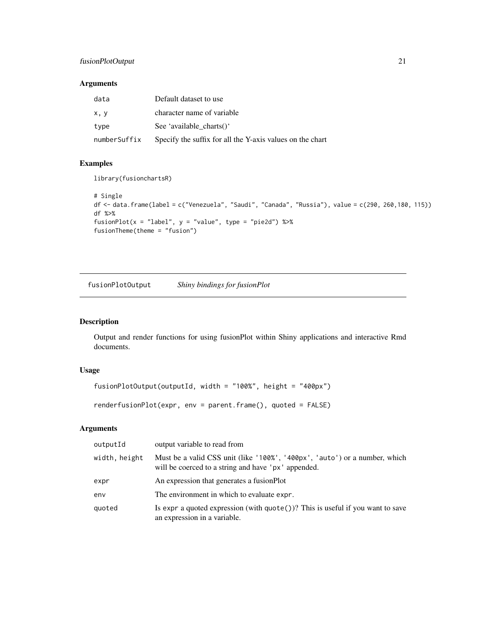#### <span id="page-20-0"></span>fusionPlotOutput 21

#### Arguments

| data         | Default dataset to use                                    |
|--------------|-----------------------------------------------------------|
| x, y         | character name of variable                                |
| type         | See 'available ${\rm charts()}'$                          |
| numberSuffix | Specify the suffix for all the Y-axis values on the chart |

#### Examples

library(fusionchartsR)

```
# Single
df <- data.frame(label = c("Venezuela", "Saudi", "Canada", "Russia"), value = c(290, 260,180, 115))
df %>%
fusionPlot(x = "label", y = "value", type = "pie2d") %>%
fusionTheme(theme = "fusion")
```
fusionPlotOutput *Shiny bindings for fusionPlot*

#### Description

Output and render functions for using fusionPlot within Shiny applications and interactive Rmd documents.

#### Usage

```
fusionPlotOutput(outputId, width = "100%", height = "400px")
```
renderfusionPlot(expr, env = parent.frame(), quoted = FALSE)

| outputId      | output variable to read from                                                                                                      |
|---------------|-----------------------------------------------------------------------------------------------------------------------------------|
| width, height | Must be a valid CSS unit (like '100%', '400px', 'auto') or a number, which<br>will be coerced to a string and have 'px' appended. |
| expr          | An expression that generates a fusion Plot                                                                                        |
| env           | The environment in which to evaluate expr.                                                                                        |
| quoted        | Is expr a quoted expression (with $\text{quote}()$ ? This is useful if you want to save<br>an expression in a variable.           |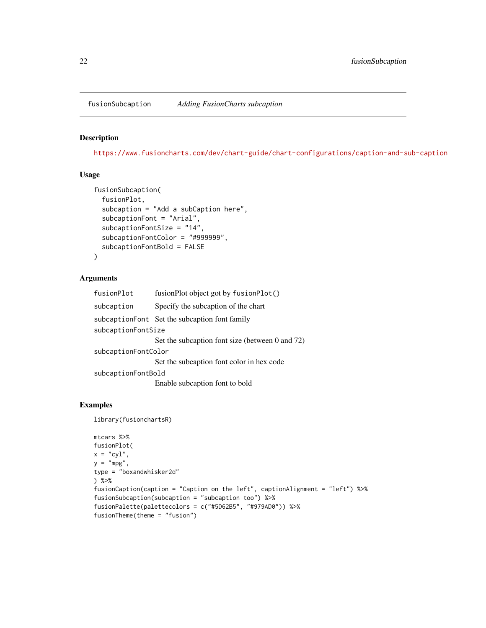<span id="page-21-0"></span>fusionSubcaption *Adding FusionCharts subcaption*

#### Description

<https://www.fusioncharts.com/dev/chart-guide/chart-configurations/caption-and-sub-caption>

#### Usage

```
fusionSubcaption(
  fusionPlot,
  subcaption = "Add a subCaption here",
  subcaptionFont = "Arial",
  subcaptionFontSize = "14",
  subcaptionFontColor = "#999999",
  subcaptionFontBold = FALSE
)
```
#### Arguments

| fusionPlot          | fusionPlot object got by fusionPlot()           |  |
|---------------------|-------------------------------------------------|--|
| subcaption          | Specify the subcaption of the chart             |  |
|                     | subcaptionFont Set the subcaption font family   |  |
| subcaptionFontSize  |                                                 |  |
|                     | Set the subcaption font size (between 0 and 72) |  |
| subcaptionFontColor |                                                 |  |
|                     | Set the subcaption font color in hex code       |  |
| subcaptionFontBold  |                                                 |  |
|                     | Enable subcaption font to bold                  |  |

#### Examples

library(fusionchartsR)

```
mtcars %>%
fusionPlot(
x = "cyl",y = "mpg",type = "boxandwhisker2d"
) %>%
fusionCaption(caption = "Caption on the left", captionAlignment = "left") %>%
fusionSubcaption(subcaption = "subcaption too") %>%
fusionPalette(palettecolors = c("#5D62B5", "#979AD0")) %>%
fusionTheme(theme = "fusion")
```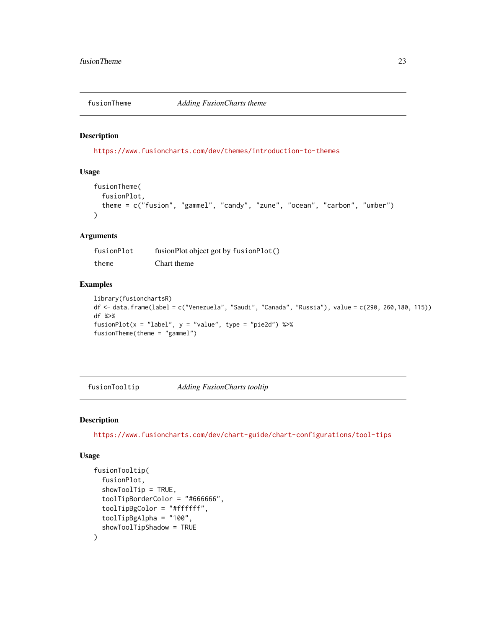<span id="page-22-0"></span>

#### Description

<https://www.fusioncharts.com/dev/themes/introduction-to-themes>

#### Usage

```
fusionTheme(
  fusionPlot,
  theme = c("fusion", "gammel", "candy", "zune", "ocean", "carbon", "umber")
\lambda
```
#### Arguments

fusionPlot fusionPlot object got by fusionPlot() theme Chart theme

#### Examples

```
library(fusionchartsR)
df <- data.frame(label = c("Venezuela", "Saudi", "Canada", "Russia"), value = c(290, 260,180, 115))
df %>%
fusionPlot(x = "label", y = "value", type = "pie2d") % >fusionTheme(theme = "gammel")
```
fusionTooltip *Adding FusionCharts tooltip*

#### Description

<https://www.fusioncharts.com/dev/chart-guide/chart-configurations/tool-tips>

```
fusionTooltip(
  fusionPlot,
  showToolTip = TRUE,
  toolTipBorderColor = "#666666",
  toolTipBgColor = "#ffffff",
  toolTipBgAlpha = "100",
  showToolTipShadow = TRUE
)
```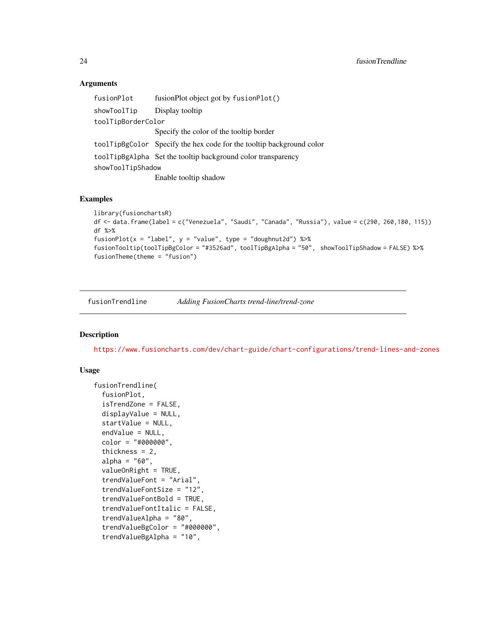#### <span id="page-23-0"></span>Arguments

| fusionPlot         | fusionPlot object got by fusionPlot()                                |
|--------------------|----------------------------------------------------------------------|
| showToolTip        | Display tooltip                                                      |
| toolTipBorderColor |                                                                      |
|                    | Specify the color of the tooltip border                              |
|                    | toolTipBgColor Specify the hex code for the tooltip background color |
|                    | toolTipBgAlpha Set the tooltip background color transparency         |
| showToolTipShadow  |                                                                      |
|                    | Enable tooltip shadow                                                |

#### Examples

```
library(fusionchartsR)
df <- data.frame(label = c("Venezuela", "Saudi", "Canada", "Russia"), value = c(290, 260,180, 115))
df %>%
fusionPlot(x = "label", y = "value", type = "doughnut2d") %>%
fusionTooltip(toolTipBgColor = "#3526ad", toolTipBgAlpha = "50", showToolTipShadow = FALSE) %>%
fusionTheme(theme = "fusion")
```
fusionTrendline *Adding FusionCharts trend-line/trend-zone*

#### Description

<https://www.fusioncharts.com/dev/chart-guide/chart-configurations/trend-lines-and-zones>

```
fusionTrendline(
  fusionPlot,
  isTrendZone = FALSE,
  displayValue = NULL,
  startValue = NULL,
  endValue = NULL,
  color = "#000000",
  thickness = 2,
  alpha = "60",valueOnRight = TRUE,trendValueFont = "Arial",
  trendValueFontSize = "12",
  trendValueFontBold = TRUE,
  trendValueFontItalic = FALSE,
  trendValueAlpha = "80",
  trendValueBgColor = "#000000",
  trendValueBgAlpha = "10",
```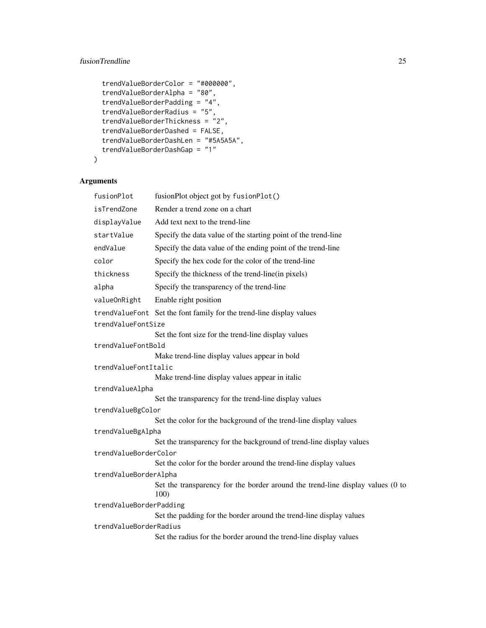### fusionTrendline 25

```
trendValueBorderColor = "#000000",
trendValueBorderAlpha = "80",
trendValueBorderPadding = "4",
trendValueBorderRadius = "5",
trendValueBorderThickness = "2",
trendValueBorderDashed = FALSE,
trendValueBorderDashLen = "#5A5A5A",
trendValueBorderDashGap = "1"
```
## Arguments

 $\mathcal{L}$ 

| fusionPlot              | fusionPlot object got by fusionPlot()                                                  |
|-------------------------|----------------------------------------------------------------------------------------|
| isTrendZone             | Render a trend zone on a chart                                                         |
| displayValue            | Add text next to the trend-line                                                        |
| startValue              | Specify the data value of the starting point of the trend-line                         |
| endValue                | Specify the data value of the ending point of the trend-line                           |
| color                   | Specify the hex code for the color of the trend-line                                   |
| thickness               | Specify the thickness of the trend-line(in pixels)                                     |
| alpha                   | Specify the transparency of the trend-line                                             |
| valueOnRight            | Enable right position                                                                  |
|                         | trendValueFont Set the font family for the trend-line display values                   |
| trendValueFontSize      |                                                                                        |
|                         | Set the font size for the trend-line display values                                    |
| trendValueFontBold      |                                                                                        |
|                         | Make trend-line display values appear in bold                                          |
| trendValueFontItalic    |                                                                                        |
|                         | Make trend-line display values appear in italic                                        |
| trendValueAlpha         |                                                                                        |
|                         | Set the transparency for the trend-line display values                                 |
| trendValueBgColor       |                                                                                        |
|                         | Set the color for the background of the trend-line display values                      |
| trendValueBgAlpha       |                                                                                        |
|                         | Set the transparency for the background of trend-line display values                   |
| trendValueBorderColor   |                                                                                        |
|                         | Set the color for the border around the trend-line display values                      |
| trendValueBorderAlpha   |                                                                                        |
|                         | Set the transparency for the border around the trend-line display values (0 to<br>100) |
| trendValueBorderPadding |                                                                                        |
|                         | Set the padding for the border around the trend-line display values                    |
| trendValueBorderRadius  |                                                                                        |
|                         | Set the radius for the border around the trend-line display values                     |
|                         |                                                                                        |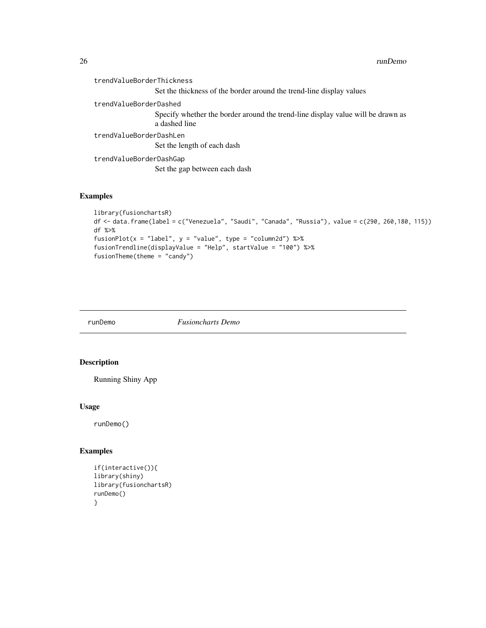<span id="page-25-0"></span>

| trendValueBorderThickness |                                                                                                  |
|---------------------------|--------------------------------------------------------------------------------------------------|
|                           | Set the thickness of the border around the trend-line display values                             |
| trendValueBorderDashed    |                                                                                                  |
|                           | Specify whether the border around the trend-line display value will be drawn as<br>a dashed line |
| trendValueBorderDashLen   |                                                                                                  |
|                           | Set the length of each dash                                                                      |
| trendValueBorderDashGap   |                                                                                                  |
|                           | Set the gap between each dash                                                                    |
|                           |                                                                                                  |

## Examples

```
library(fusionchartsR)
df <- data.frame(label = c("Venezuela", "Saudi", "Canada", "Russia"), value = c(290, 260,180, 115))
df %>%
fusionPlot(x = "label", y = "value", type = "column2d") %>%
fusionTrendline(displayValue = "Help", startValue = "100") %>%
fusionTheme(theme = "candy")
```
runDemo *Fusioncharts Demo*

#### Description

Running Shiny App

#### Usage

runDemo()

#### Examples

```
if(interactive()){
library(shiny)
library(fusionchartsR)
runDemo()
}
```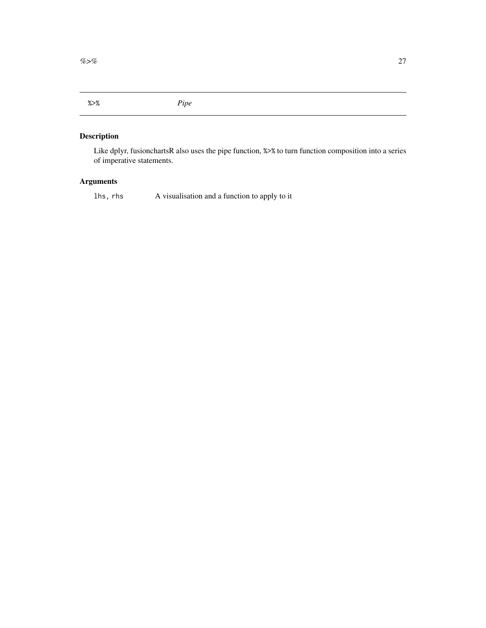<span id="page-26-0"></span>%>% *Pipe*

# Description

Like dplyr, fusionchartsR also uses the pipe function, %>% to turn function composition into a series of imperative statements.

### Arguments

lhs, rhs A visualisation and a function to apply to it